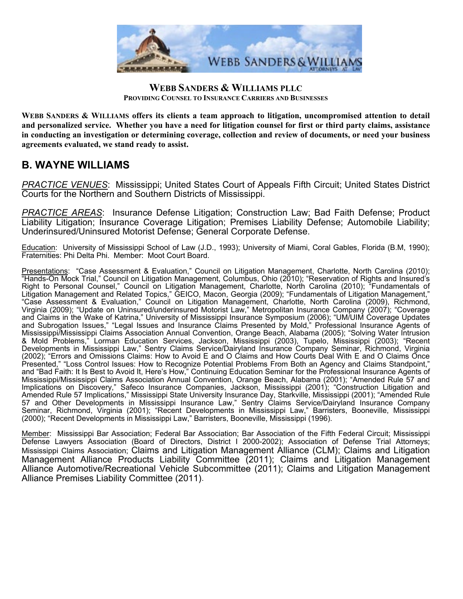

## **WEBB SANDERS & WILLIAMS PLLC PROVIDING COUNSEL TO INSURANCE CARRIERS AND BUSINESSES**

**WEBB SANDERS & WILLIAMS offers its clients a team approach to litigation, uncompromised attention to detail and personalized service. Whether you have a need for litigation counsel for first or third party claims, assistance in conducting an investigation or determining coverage, collection and review of documents, or need your business agreements evaluated, we stand ready to assist.** 

## **B. WAYNE WILLIAMS**

*PRACTICE VENUES*: Mississippi; United States Court of Appeals Fifth Circuit; United States District Courts for the Northern and Southern Districts of Mississippi.

*PRACTICE AREAS*: Insurance Defense Litigation; Construction Law; Bad Faith Defense; Product Liability Litigation; Insurance Coverage Litigation; Premises Liability Defense; Automobile Liability; Underinsured/Uninsured Motorist Defense; General Corporate Defense.

Education: University of Mississippi School of Law (J.D., 1993); University of Miami, Coral Gables, Florida (B.M, 1990); Fraternities: Phi Delta Phi. Member: Moot Court Board.

Presentations: "Case Assessment & Evaluation," Council on Litigation Management, Charlotte, North Carolina (2010); "Hands-On Mock Trial," Council on Litigation Management, Columbus, Ohio (2010); "Reservation of Rights and Insured's Right to Personal Counsel," Council on Litigation Management, Charlotte, North Carolina (2010); "Fundamentals of Litigation Management and Related Topics," GEICO, Macon, Georgia (2009); "Fundamentals of Litigation Management," "Case Assessment & Evaluation," Council on Litigation Management, Charlotte, North Carolina (2009), Richmond, Virginia (2009); "Update on Uninsured/underinsured Motorist Law," Metropolitan Insurance Company (2007); "Coverage and Claims in the Wake of Katrina," University of Mississippi Insurance Symposium (2006); "UM/UIM Coverage Updates and Subrogation Issues," "Legal Issues and Insurance Claims Presented by Mold," Professional Insurance Agents of Mississippi/Mississippi Claims Association Annual Convention, Orange Beach, Alabama (2005); "Solving Water Intrusion & Mold Problems," Lorman Education Services, Jackson, Mississippi (2003), Tupelo, Mississippi (2003); "Recent Developments in Mississippi Law," Sentry Claims Service/Dairyland Insurance Company Seminar, Richmond, Virginia (2002); "Errors and Omissions Claims: How to Avoid E and O Claims and How Courts Deal With E and O Claims Once Presented," "Loss Control Issues: How to Recognize Potential Problems From Both an Agency and Claims Standpoint," and "Bad Faith: It Is Best to Avoid It, Here's How," Continuing Education Seminar for the Professional Insurance Agents of Mississippi/Mississippi Claims Association Annual Convention, Orange Beach, Alabama (2001); "Amended Rule 57 and Implications on Discovery," Safeco Insurance Companies, Jackson, Mississippi (2001); "Construction Litigation and Amended Rule 57 Implications," Mississippi State University Insurance Day, Starkville, Mississippi (2001); "Amended Rule 57 and Other Developments in Mississippi Insurance Law," Sentry Claims Service/Dairyland Insurance Company Seminar, Richmond, Virginia (2001); "Recent Developments in Mississippi Law," Barristers, Booneville, Mississippi (2000); "Recent Developments in Mississippi Law," Barristers, Booneville, Mississippi (1996).

Member: Mississippi Bar Association; Federal Bar Association; Bar Association of the Fifth Federal Circuit; Mississippi Defense Lawyers Association (Board of Directors, District I 2000-2002); Association of Defense Trial Attorneys; Mississippi Claims Association; Claims and Litigation Management Alliance (CLM); Claims and Litigation Management Alliance Products Liability Committee (2011); Claims and Litigation Management Alliance Automotive/Recreational Vehicle Subcommittee (2011); Claims and Litigation Management Alliance Premises Liability Committee (2011).